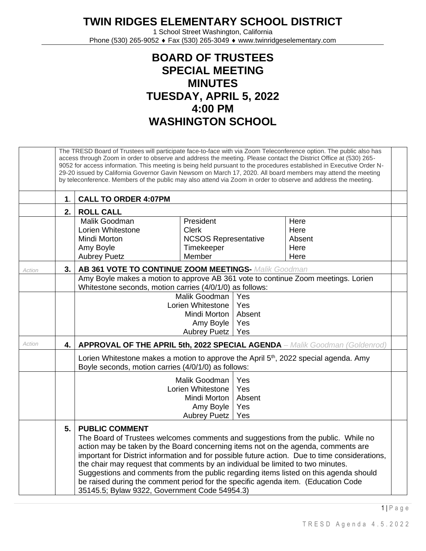**TWIN RIDGES ELEMENTARY SCHOOL DISTRICT**

1 School Street Washington, California Phone (530) 265-9052 ♦ Fax (530) 265-3049 ♦ www.twinridgeselementary.com

## **BOARD OF TRUSTEES SPECIAL MEETING MINUTES TUESDAY, APRIL 5, 2022 4:00 PM WASHINGTON SCHOOL**

|        |      | The TRESD Board of Trustees will participate face-to-face with via Zoom Teleconference option. The public also has<br>access through Zoom in order to observe and address the meeting. Please contact the District Office at (530) 265-<br>9052 for access information. This meeting is being held pursuant to the procedures established in Executive Order N-<br>29-20 issued by California Governor Gavin Newsom on March 17, 2020. All board members may attend the meeting<br>by teleconference. Members of the public may also attend via Zoom in order to observe and address the meeting. |                             |        |                                                                                                |  |  |  |  |
|--------|------|---------------------------------------------------------------------------------------------------------------------------------------------------------------------------------------------------------------------------------------------------------------------------------------------------------------------------------------------------------------------------------------------------------------------------------------------------------------------------------------------------------------------------------------------------------------------------------------------------|-----------------------------|--------|------------------------------------------------------------------------------------------------|--|--|--|--|
|        | 1.   | <b>CALL TO ORDER 4:07PM</b>                                                                                                                                                                                                                                                                                                                                                                                                                                                                                                                                                                       |                             |        |                                                                                                |  |  |  |  |
|        | 2.   | <b>ROLL CALL</b>                                                                                                                                                                                                                                                                                                                                                                                                                                                                                                                                                                                  |                             |        |                                                                                                |  |  |  |  |
|        |      | Malik Goodman                                                                                                                                                                                                                                                                                                                                                                                                                                                                                                                                                                                     | President                   |        | Here                                                                                           |  |  |  |  |
|        |      | Lorien Whitestone                                                                                                                                                                                                                                                                                                                                                                                                                                                                                                                                                                                 | <b>Clerk</b>                |        | Here                                                                                           |  |  |  |  |
|        |      | Mindi Morton                                                                                                                                                                                                                                                                                                                                                                                                                                                                                                                                                                                      | <b>NCSOS Representative</b> |        | Absent                                                                                         |  |  |  |  |
|        |      | Amy Boyle                                                                                                                                                                                                                                                                                                                                                                                                                                                                                                                                                                                         | Timekeeper                  |        | Here                                                                                           |  |  |  |  |
|        |      | <b>Aubrey Puetz</b>                                                                                                                                                                                                                                                                                                                                                                                                                                                                                                                                                                               | Member                      |        | Here                                                                                           |  |  |  |  |
| Action | 3.   | <b>AB 361 VOTE TO CONTINUE ZOOM MEETINGS- Malik Goodman</b>                                                                                                                                                                                                                                                                                                                                                                                                                                                                                                                                       |                             |        |                                                                                                |  |  |  |  |
|        |      | Amy Boyle makes a motion to approve AB 361 vote to continue Zoom meetings. Lorien                                                                                                                                                                                                                                                                                                                                                                                                                                                                                                                 |                             |        |                                                                                                |  |  |  |  |
|        |      | Whitestone seconds, motion carries (4/0/1/0) as follows:                                                                                                                                                                                                                                                                                                                                                                                                                                                                                                                                          |                             |        |                                                                                                |  |  |  |  |
|        |      | Malik Goodman<br>Yes<br>Yes<br>Lorien Whitestone                                                                                                                                                                                                                                                                                                                                                                                                                                                                                                                                                  |                             |        |                                                                                                |  |  |  |  |
|        |      |                                                                                                                                                                                                                                                                                                                                                                                                                                                                                                                                                                                                   | Mindi Morton                | Absent |                                                                                                |  |  |  |  |
|        |      | Amy Boyle<br>Yes                                                                                                                                                                                                                                                                                                                                                                                                                                                                                                                                                                                  |                             |        |                                                                                                |  |  |  |  |
|        |      |                                                                                                                                                                                                                                                                                                                                                                                                                                                                                                                                                                                                   | <b>Aubrey Puetz</b>         | Yes    |                                                                                                |  |  |  |  |
| Action | 4. l | <b>APPROVAL OF THE APRIL 5th, 2022 SPECIAL AGENDA</b> - Malik Goodman (Goldenrod)                                                                                                                                                                                                                                                                                                                                                                                                                                                                                                                 |                             |        |                                                                                                |  |  |  |  |
|        |      | Lorien Whitestone makes a motion to approve the April 5 <sup>th</sup> , 2022 special agenda. Amy<br>Boyle seconds, motion carries (4/0/1/0) as follows:                                                                                                                                                                                                                                                                                                                                                                                                                                           |                             |        |                                                                                                |  |  |  |  |
|        |      | Malik Goodman<br>Yes                                                                                                                                                                                                                                                                                                                                                                                                                                                                                                                                                                              |                             |        |                                                                                                |  |  |  |  |
|        |      |                                                                                                                                                                                                                                                                                                                                                                                                                                                                                                                                                                                                   | Lorien Whitestone           | Yes    |                                                                                                |  |  |  |  |
|        |      |                                                                                                                                                                                                                                                                                                                                                                                                                                                                                                                                                                                                   | Mindi Morton                | Absent |                                                                                                |  |  |  |  |
|        |      |                                                                                                                                                                                                                                                                                                                                                                                                                                                                                                                                                                                                   | Amy Boyle                   | Yes    |                                                                                                |  |  |  |  |
|        |      |                                                                                                                                                                                                                                                                                                                                                                                                                                                                                                                                                                                                   | <b>Aubrey Puetz</b>         | Yes    |                                                                                                |  |  |  |  |
|        | 5.   | <b>PUBLIC COMMENT</b><br>The Board of Trustees welcomes comments and suggestions from the public. While no<br>action may be taken by the Board concerning items not on the agenda, comments are<br>the chair may request that comments by an individual be limited to two minutes.<br>Suggestions and comments from the public regarding items listed on this agenda should<br>be raised during the comment period for the specific agenda item. (Education Code<br>35145.5; Bylaw 9322, Government Code 54954.3)                                                                                 |                             |        | important for District information and for possible future action. Due to time considerations, |  |  |  |  |

1 | P a g e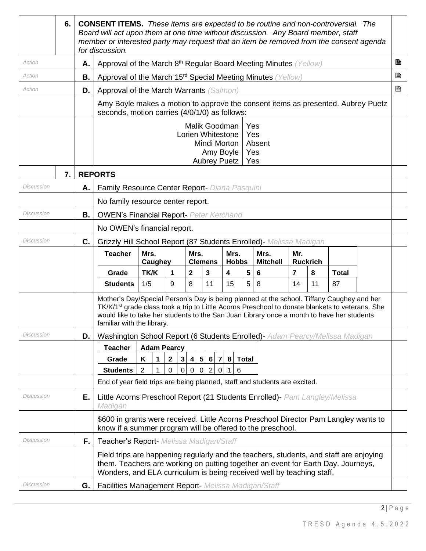|                   | 6. |    | <b>CONSENT ITEMS.</b> These items are expected to be routine and non-controversial. The<br>Board will act upon them at one time without discussion. Any Board member, staff<br>member or interested party may request that an item be removed from the consent agenda<br>for discussion.                                            |                    |                               |                                   |                                                                                        |                         |              |                                    |                |                 |              |  |   |
|-------------------|----|----|-------------------------------------------------------------------------------------------------------------------------------------------------------------------------------------------------------------------------------------------------------------------------------------------------------------------------------------|--------------------|-------------------------------|-----------------------------------|----------------------------------------------------------------------------------------|-------------------------|--------------|------------------------------------|----------------|-----------------|--------------|--|---|
| Action            |    | Α. | Approval of the March 8 <sup>th</sup> Regular Board Meeting Minutes (Yellow)                                                                                                                                                                                                                                                        |                    |                               |                                   |                                                                                        |                         |              |                                    |                |                 |              |  | B |
| Action            |    | В. | Approval of the March 15 <sup>rd</sup> Special Meeting Minutes (Yellow)                                                                                                                                                                                                                                                             |                    |                               |                                   |                                                                                        |                         |              |                                    |                |                 |              |  | B |
| Action            |    | D. | Approval of the March Warrants (Salmon)                                                                                                                                                                                                                                                                                             |                    |                               |                                   |                                                                                        |                         |              |                                    |                |                 |              |  | B |
|                   |    |    | Amy Boyle makes a motion to approve the consent items as presented. Aubrey Puetz<br>seconds, motion carries (4/0/1/0) as follows:                                                                                                                                                                                                   |                    |                               |                                   |                                                                                        |                         |              |                                    |                |                 |              |  |   |
|                   |    |    |                                                                                                                                                                                                                                                                                                                                     |                    |                               |                                   | Malik Goodman<br>Lorien Whitestone<br>Mindi Morton<br>Amy Boyle<br><b>Aubrey Puetz</b> |                         |              | Yes<br>Yes<br>Absent<br>Yes<br>Yes |                |                 |              |  |   |
|                   | 7. |    | <b>REPORTS</b>                                                                                                                                                                                                                                                                                                                      |                    |                               |                                   |                                                                                        |                         |              |                                    |                |                 |              |  |   |
| Discussion        |    | Α. | Family Resource Center Report- Diana Pasquini                                                                                                                                                                                                                                                                                       |                    |                               |                                   |                                                                                        |                         |              |                                    |                |                 |              |  |   |
|                   |    |    | No family resource center report.                                                                                                                                                                                                                                                                                                   |                    |                               |                                   |                                                                                        |                         |              |                                    |                |                 |              |  |   |
| Discussion        |    | В. | <b>OWEN's Financial Report- Peter Ketchand</b>                                                                                                                                                                                                                                                                                      |                    |                               |                                   |                                                                                        |                         |              |                                    |                |                 |              |  |   |
|                   |    |    | No OWEN's financial report.                                                                                                                                                                                                                                                                                                         |                    |                               |                                   |                                                                                        |                         |              |                                    |                |                 |              |  |   |
| Discussion        |    | C. | Grizzly Hill School Report (87 Students Enrolled) - Melissa Madigan                                                                                                                                                                                                                                                                 |                    |                               |                                   |                                                                                        |                         |              |                                    |                |                 |              |  |   |
|                   |    |    | <b>Teacher</b>                                                                                                                                                                                                                                                                                                                      | Mrs.<br>Caughey    |                               | Mrs.                              | <b>Clemens</b>                                                                         | Mrs.<br><b>Hobbs</b>    |              | Mrs.<br><b>Mitchell</b>            | Mr.            | <b>Ruckrich</b> |              |  |   |
|                   |    |    | Grade                                                                                                                                                                                                                                                                                                                               | <b>TK/K</b>        | 1                             | $\mathbf{2}$                      | $\mathbf{3}$                                                                           | $\overline{\mathbf{4}}$ | 5            | 6                                  | $\overline{7}$ | 8               | <b>Total</b> |  |   |
|                   |    |    | <b>Students</b>                                                                                                                                                                                                                                                                                                                     | 1/5                | 9                             | 8                                 | 11                                                                                     | 15                      | 5            | 8                                  | 14             | 11              | 87           |  |   |
|                   |    |    | Mother's Day/Special Person's Day is being planned at the school. Tiffany Caughey and her<br>TK/K/1 <sup>st</sup> grade class took a trip to Little Acorns Preschool to donate blankets to veterans. She<br>would like to take her students to the San Juan Library once a month to have her students<br>familiar with the library. |                    |                               |                                   |                                                                                        |                         |              |                                    |                |                 |              |  |   |
| Discussion        |    | D. | Washington School Report (6 Students Enrolled)- Adam Pearcy/Melissa Madigan                                                                                                                                                                                                                                                         |                    |                               |                                   |                                                                                        |                         |              |                                    |                |                 |              |  |   |
|                   |    |    | <b>Teacher</b>                                                                                                                                                                                                                                                                                                                      | <b>Adam Pearcy</b> |                               |                                   |                                                                                        |                         |              |                                    |                |                 |              |  |   |
|                   |    |    | Grade                                                                                                                                                                                                                                                                                                                               | Κ<br>1             | $\mathbf{2}$<br>3             | $5\phantom{.0}$<br>4 <sup>1</sup> | $6 \mid$<br>$\overline{7}$                                                             | 8                       | <b>Total</b> |                                    |                |                 |              |  |   |
|                   |    |    | <b>Students</b><br>End of year field trips are being planned, staff and students are excited.                                                                                                                                                                                                                                       | $\overline{2}$     | $\mathbf 0$<br>$\overline{0}$ | $\mathsf 0$<br>$\overline{0}$     | $2 \mid$<br>$\overline{0}$                                                             | 6                       |              |                                    |                |                 |              |  |   |
|                   |    |    |                                                                                                                                                                                                                                                                                                                                     |                    |                               |                                   |                                                                                        |                         |              |                                    |                |                 |              |  |   |
| Discussion        |    | Е. | Little Acorns Preschool Report (21 Students Enrolled)- Pam Langley/Melissa<br>Madigan                                                                                                                                                                                                                                               |                    |                               |                                   |                                                                                        |                         |              |                                    |                |                 |              |  |   |
|                   |    |    | \$600 in grants were received. Little Acorns Preschool Director Pam Langley wants to<br>know if a summer program will be offered to the preschool.                                                                                                                                                                                  |                    |                               |                                   |                                                                                        |                         |              |                                    |                |                 |              |  |   |
| Discussion        |    | F. | Teacher's Report- Melissa Madigan/Staff                                                                                                                                                                                                                                                                                             |                    |                               |                                   |                                                                                        |                         |              |                                    |                |                 |              |  |   |
|                   |    |    | Field trips are happening regularly and the teachers, students, and staff are enjoying<br>them. Teachers are working on putting together an event for Earth Day. Journeys,<br>Wonders, and ELA curriculum is being received well by teaching staff.                                                                                 |                    |                               |                                   |                                                                                        |                         |              |                                    |                |                 |              |  |   |
| <b>Discussion</b> |    | G. | Facilities Management Report- Melissa Madigan/Staff                                                                                                                                                                                                                                                                                 |                    |                               |                                   |                                                                                        |                         |              |                                    |                |                 |              |  |   |

 $2 | P a g e$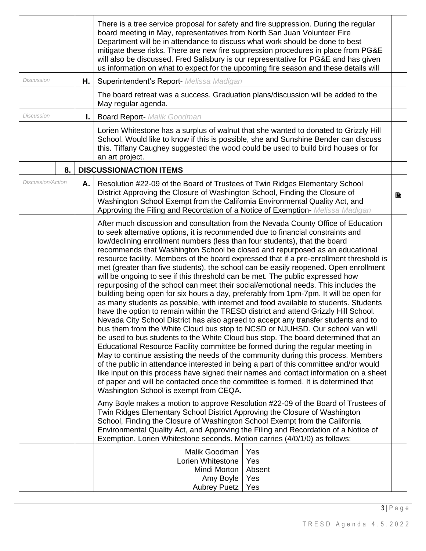|                          |    | There is a tree service proposal for safety and fire suppression. During the regular<br>board meeting in May, representatives from North San Juan Volunteer Fire<br>Department will be in attendance to discuss what work should be done to best<br>mitigate these risks. There are new fire suppression procedures in place from PG&E<br>will also be discussed. Fred Salisbury is our representative for PG&E and has given<br>us information on what to expect for the upcoming fire season and these details will                                                                                                                                                                                                                                                                                                                                                                                                                                                                                                                                                                                                                                                                                                                                                                                                                                                                                                                                                                                                                                                                                                                                                                                                                                                                                                                                                                                                                                                                                                                                              |   |
|--------------------------|----|--------------------------------------------------------------------------------------------------------------------------------------------------------------------------------------------------------------------------------------------------------------------------------------------------------------------------------------------------------------------------------------------------------------------------------------------------------------------------------------------------------------------------------------------------------------------------------------------------------------------------------------------------------------------------------------------------------------------------------------------------------------------------------------------------------------------------------------------------------------------------------------------------------------------------------------------------------------------------------------------------------------------------------------------------------------------------------------------------------------------------------------------------------------------------------------------------------------------------------------------------------------------------------------------------------------------------------------------------------------------------------------------------------------------------------------------------------------------------------------------------------------------------------------------------------------------------------------------------------------------------------------------------------------------------------------------------------------------------------------------------------------------------------------------------------------------------------------------------------------------------------------------------------------------------------------------------------------------------------------------------------------------------------------------------------------------|---|
| <b>Discussion</b>        | Η. | Superintendent's Report- Melissa Madigan                                                                                                                                                                                                                                                                                                                                                                                                                                                                                                                                                                                                                                                                                                                                                                                                                                                                                                                                                                                                                                                                                                                                                                                                                                                                                                                                                                                                                                                                                                                                                                                                                                                                                                                                                                                                                                                                                                                                                                                                                           |   |
|                          |    | The board retreat was a success. Graduation plans/discussion will be added to the<br>May regular agenda.                                                                                                                                                                                                                                                                                                                                                                                                                                                                                                                                                                                                                                                                                                                                                                                                                                                                                                                                                                                                                                                                                                                                                                                                                                                                                                                                                                                                                                                                                                                                                                                                                                                                                                                                                                                                                                                                                                                                                           |   |
| <b>Discussion</b>        | Ι. | <b>Board Report-</b> Malik Goodman                                                                                                                                                                                                                                                                                                                                                                                                                                                                                                                                                                                                                                                                                                                                                                                                                                                                                                                                                                                                                                                                                                                                                                                                                                                                                                                                                                                                                                                                                                                                                                                                                                                                                                                                                                                                                                                                                                                                                                                                                                 |   |
|                          |    | Lorien Whitestone has a surplus of walnut that she wanted to donated to Grizzly Hill<br>School. Would like to know if this is possible, she and Sunshine Bender can discuss<br>this. Tiffany Caughey suggested the wood could be used to build bird houses or for<br>an art project.                                                                                                                                                                                                                                                                                                                                                                                                                                                                                                                                                                                                                                                                                                                                                                                                                                                                                                                                                                                                                                                                                                                                                                                                                                                                                                                                                                                                                                                                                                                                                                                                                                                                                                                                                                               |   |
| 8.                       |    | <b>DISCUSSION/ACTION ITEMS</b>                                                                                                                                                                                                                                                                                                                                                                                                                                                                                                                                                                                                                                                                                                                                                                                                                                                                                                                                                                                                                                                                                                                                                                                                                                                                                                                                                                                                                                                                                                                                                                                                                                                                                                                                                                                                                                                                                                                                                                                                                                     |   |
| <b>Discussion/Action</b> | Α. | Resolution #22-09 of the Board of Trustees of Twin Ridges Elementary School<br>District Approving the Closure of Washington School, Finding the Closure of<br>Washington School Exempt from the California Environmental Quality Act, and<br>Approving the Filing and Recordation of a Notice of Exemption- Melissa Madigan                                                                                                                                                                                                                                                                                                                                                                                                                                                                                                                                                                                                                                                                                                                                                                                                                                                                                                                                                                                                                                                                                                                                                                                                                                                                                                                                                                                                                                                                                                                                                                                                                                                                                                                                        | B |
|                          |    | After much discussion and consultation from the Nevada County Office of Education<br>to seek alternative options, it is recommended due to financial constraints and<br>low/declining enrollment numbers (less than four students), that the board<br>recommends that Washington School be closed and repurposed as an educational<br>resource facility. Members of the board expressed that if a pre-enrollment threshold is<br>met (greater than five students), the school can be easily reopened. Open enrollment<br>will be ongoing to see if this threshold can be met. The public expressed how<br>repurposing of the school can meet their social/emotional needs. This includes the<br>building being open for six hours a day, preferably from 1pm-7pm. It will be open for<br>as many students as possible, with internet and food available to students. Students<br>have the option to remain within the TRESD district and attend Grizzly Hill School.<br>Nevada City School District has also agreed to accept any transfer students and to<br>bus them from the White Cloud bus stop to NCSD or NJUHSD. Our school van will<br>be used to bus students to the White Cloud bus stop. The board determined that an<br>Educational Resource Facility committee be formed during the regular meeting in<br>May to continue assisting the needs of the community during this process. Members<br>of the public in attendance interested in being a part of this committee and/or would<br>like input on this process have signed their names and contact information on a sheet<br>of paper and will be contacted once the committee is formed. It is determined that<br>Washington School is exempt from CEQA.<br>Amy Boyle makes a motion to approve Resolution #22-09 of the Board of Trustees of<br>Twin Ridges Elementary School District Approving the Closure of Washington<br>School, Finding the Closure of Washington School Exempt from the California<br>Environmental Quality Act, and Approving the Filing and Recordation of a Notice of |   |
|                          |    | Exemption. Lorien Whitestone seconds. Motion carries (4/0/1/0) as follows:                                                                                                                                                                                                                                                                                                                                                                                                                                                                                                                                                                                                                                                                                                                                                                                                                                                                                                                                                                                                                                                                                                                                                                                                                                                                                                                                                                                                                                                                                                                                                                                                                                                                                                                                                                                                                                                                                                                                                                                         |   |
|                          |    | Malik Goodman<br>Yes<br>Lorien Whitestone<br>Yes<br>Mindi Morton<br>Absent<br>Amy Boyle<br>Yes<br><b>Aubrey Puetz</b><br>Yes                                                                                                                                                                                                                                                                                                                                                                                                                                                                                                                                                                                                                                                                                                                                                                                                                                                                                                                                                                                                                                                                                                                                                                                                                                                                                                                                                                                                                                                                                                                                                                                                                                                                                                                                                                                                                                                                                                                                       |   |

 $3 | P a g e$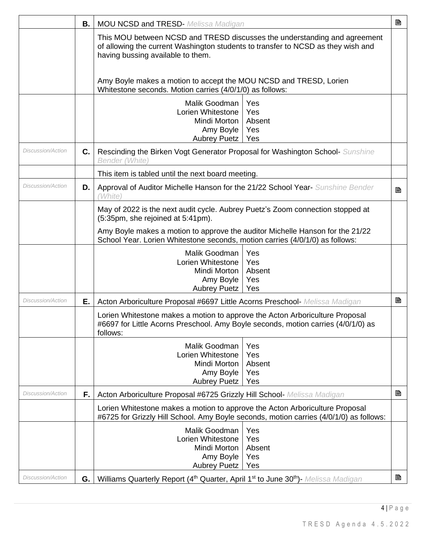|                          | В. | <b>MOU NCSD and TRESD-</b> Melissa Madigan                                                                                                                                                         |                                    | B |  |  |  |
|--------------------------|----|----------------------------------------------------------------------------------------------------------------------------------------------------------------------------------------------------|------------------------------------|---|--|--|--|
|                          |    | This MOU between NCSD and TRESD discusses the understanding and agreement<br>of allowing the current Washington students to transfer to NCSD as they wish and<br>having bussing available to them. |                                    |   |  |  |  |
|                          |    | Amy Boyle makes a motion to accept the MOU NCSD and TRESD, Lorien<br>Whitestone seconds. Motion carries (4/0/1/0) as follows:                                                                      |                                    |   |  |  |  |
|                          |    | Malik Goodman<br>Lorien Whitestone<br>Mindi Morton<br>Amy Boyle<br>Aubrey Puetz                                                                                                                    | Yes<br>Yes<br>Absent<br>Yes<br>Yes |   |  |  |  |
| Discussion/Action        | C. | Rescinding the Birken Vogt Generator Proposal for Washington School- Sunshine<br><b>Bender (White)</b>                                                                                             |                                    |   |  |  |  |
|                          |    | This item is tabled until the next board meeting.                                                                                                                                                  |                                    |   |  |  |  |
| Discussion/Action        | D. | Approval of Auditor Michelle Hanson for the 21/22 School Year- Sunshine Bender<br>'White l                                                                                                         |                                    | B |  |  |  |
|                          |    | May of 2022 is the next audit cycle. Aubrey Puetz's Zoom connection stopped at<br>(5:35pm, she rejoined at 5:41pm).                                                                                |                                    |   |  |  |  |
|                          |    | Amy Boyle makes a motion to approve the auditor Michelle Hanson for the 21/22<br>School Year. Lorien Whitestone seconds, motion carries (4/0/1/0) as follows:                                      |                                    |   |  |  |  |
|                          |    | Malik Goodman<br>Lorien Whitestone<br>Mindi Morton<br>Amy Boyle<br><b>Aubrey Puetz</b>                                                                                                             | Yes<br>Yes<br>Absent<br>Yes<br>Yes |   |  |  |  |
| Discussion/Action        | Е. | Acton Arboriculture Proposal #6697 Little Acorns Preschool- Melissa Madigan                                                                                                                        |                                    | B |  |  |  |
|                          |    | Lorien Whitestone makes a motion to approve the Acton Arboriculture Proposal<br>#6697 for Little Acorns Preschool. Amy Boyle seconds, motion carries (4/0/1/0) as<br>follows:                      |                                    |   |  |  |  |
|                          |    | Malik Goodman<br>Lorien Whitestone<br>Mindi Morton<br>Amy Boyle<br><b>Aubrey Puetz</b>                                                                                                             | Yes<br>Yes<br>Absent<br>Yes<br>Yes |   |  |  |  |
| <b>Discussion/Action</b> | F. | Acton Arboriculture Proposal #6725 Grizzly Hill School- Melissa Madigan                                                                                                                            |                                    | B |  |  |  |
|                          |    | Lorien Whitestone makes a motion to approve the Acton Arboriculture Proposal<br>#6725 for Grizzly Hill School. Amy Boyle seconds, motion carries (4/0/1/0) as follows:                             |                                    |   |  |  |  |
|                          |    | Malik Goodman<br>Lorien Whitestone<br>Mindi Morton<br>Amy Boyle<br><b>Aubrey Puetz</b>                                                                                                             | Yes<br>Yes<br>Absent<br>Yes<br>Yes |   |  |  |  |
| Discussion/Action        | G. | Williams Quarterly Report (4 <sup>th</sup> Quarter, April 1 <sup>st</sup> to June 30 <sup>th</sup> ) Melissa Madigan                                                                               |                                    | B |  |  |  |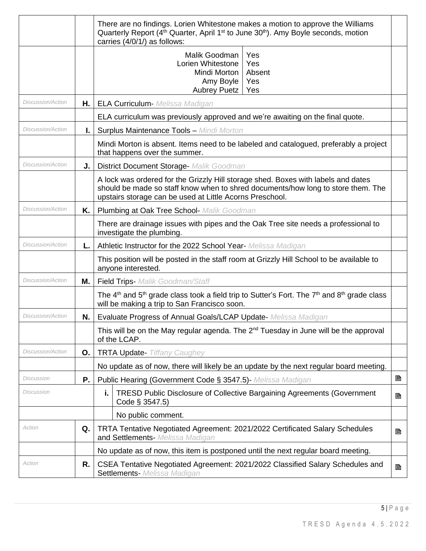|                          |    | There are no findings. Lorien Whitestone makes a motion to approve the Williams<br>Quarterly Report (4 <sup>th</sup> Quarter, April 1 <sup>st</sup> to June 30 <sup>th</sup> ). Amy Boyle seconds, motion<br>carries (4/0/1/) as follows: |  |  |  |  |  |  |
|--------------------------|----|-------------------------------------------------------------------------------------------------------------------------------------------------------------------------------------------------------------------------------------------|--|--|--|--|--|--|
|                          |    | Malik Goodman<br>Yes<br>Lorien Whitestone<br>Yes<br>Mindi Morton<br>Absent<br>Amy Boyle<br>Yes<br>Yes<br><b>Aubrey Puetz</b>                                                                                                              |  |  |  |  |  |  |
| Discussion/Action        |    | H.   ELA Curriculum- Melissa Madigan                                                                                                                                                                                                      |  |  |  |  |  |  |
|                          |    | ELA curriculum was previously approved and we're awaiting on the final quote.                                                                                                                                                             |  |  |  |  |  |  |
| <b>Discussion/Action</b> | L. | <b>Surplus Maintenance Tools - Mindi Morton</b>                                                                                                                                                                                           |  |  |  |  |  |  |
|                          |    | Mindi Morton is absent. Items need to be labeled and catalogued, preferably a project<br>that happens over the summer.                                                                                                                    |  |  |  |  |  |  |
| Discussion/Action        | J. | <b>District Document Storage- Malik Goodman</b>                                                                                                                                                                                           |  |  |  |  |  |  |
|                          |    | A lock was ordered for the Grizzly Hill storage shed. Boxes with labels and dates<br>should be made so staff know when to shred documents/how long to store them. The<br>upstairs storage can be used at Little Acorns Preschool.         |  |  |  |  |  |  |
| Discussion/Action        | Κ. | <b>Plumbing at Oak Tree School- Malik Goodman</b>                                                                                                                                                                                         |  |  |  |  |  |  |
|                          |    | There are drainage issues with pipes and the Oak Tree site needs a professional to<br>investigate the plumbing.                                                                                                                           |  |  |  |  |  |  |
| Discussion/Action        | L. | Athletic Instructor for the 2022 School Year- Melissa Madigan                                                                                                                                                                             |  |  |  |  |  |  |
|                          |    | This position will be posted in the staff room at Grizzly Hill School to be available to<br>anyone interested.                                                                                                                            |  |  |  |  |  |  |
| <b>Discussion/Action</b> | М. | <b>Field Trips-</b> Malik Goodman/Staff                                                                                                                                                                                                   |  |  |  |  |  |  |
|                          |    | The $4th$ and $5th$ grade class took a field trip to Sutter's Fort. The $7th$ and $8th$ grade class<br>will be making a trip to San Francisco soon.                                                                                       |  |  |  |  |  |  |
| <b>Discussion/Action</b> | N. | Evaluate Progress of Annual Goals/LCAP Update- Melissa Madigan                                                                                                                                                                            |  |  |  |  |  |  |
|                          |    | This will be on the May regular agenda. The 2 <sup>nd</sup> Tuesday in June will be the approval<br>of the LCAP.                                                                                                                          |  |  |  |  |  |  |
| Discussion/Action        | О. | <b>TRTA Update-</b> Tiffany Caughey                                                                                                                                                                                                       |  |  |  |  |  |  |
|                          |    | No update as of now, there will likely be an update by the next regular board meeting.                                                                                                                                                    |  |  |  |  |  |  |
| Discussion               | Ρ. | B<br>Public Hearing (Government Code § 3547.5)- Melissa Madigan                                                                                                                                                                           |  |  |  |  |  |  |
| Discussion               |    | <b>TRESD Public Disclosure of Collective Bargaining Agreements (Government</b><br>i.<br>B<br>Code § 3547.5)                                                                                                                               |  |  |  |  |  |  |
|                          |    | No public comment.                                                                                                                                                                                                                        |  |  |  |  |  |  |
| Action                   | Q. | TRTA Tentative Negotiated Agreement: 2021/2022 Certificated Salary Schedules<br>B<br>and Settlements- Melissa Madigan                                                                                                                     |  |  |  |  |  |  |
|                          |    | No update as of now, this item is postponed until the next regular board meeting.                                                                                                                                                         |  |  |  |  |  |  |
| Action                   | R. | CSEA Tentative Negotiated Agreement: 2021/2022 Classified Salary Schedules and<br>B<br>Settlements- Melissa Madigan                                                                                                                       |  |  |  |  |  |  |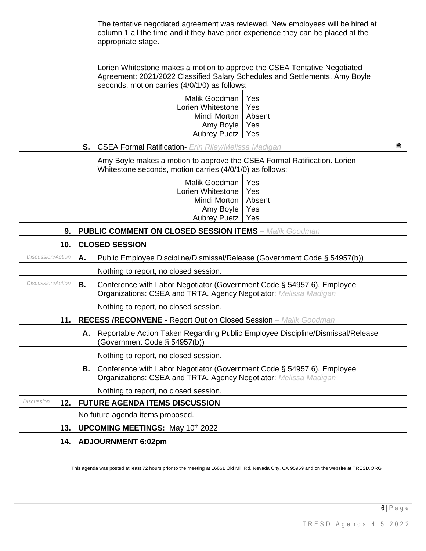|                          |      |                                                                                                                      | The tentative negotiated agreement was reviewed. New employees will be hired at<br>column 1 all the time and if they have prior experience they can be placed at the<br>appropriate stage.                |   |  |  |  |  |
|--------------------------|------|----------------------------------------------------------------------------------------------------------------------|-----------------------------------------------------------------------------------------------------------------------------------------------------------------------------------------------------------|---|--|--|--|--|
|                          |      |                                                                                                                      | Lorien Whitestone makes a motion to approve the CSEA Tentative Negotiated<br>Agreement: 2021/2022 Classified Salary Schedules and Settlements. Amy Boyle<br>seconds, motion carries (4/0/1/0) as follows: |   |  |  |  |  |
|                          |      |                                                                                                                      | Malik Goodman<br>Yes<br>Lorien Whitestone<br>Yes<br>Mindi Morton<br>Absent<br>Amy Boyle<br>Yes<br><b>Aubrey Puetz</b><br>Yes                                                                              |   |  |  |  |  |
|                          |      | S.                                                                                                                   | <b>CSEA Formal Ratification-</b> Erin Riley/Melissa Madigan                                                                                                                                               | B |  |  |  |  |
|                          |      |                                                                                                                      | Amy Boyle makes a motion to approve the CSEA Formal Ratification. Lorien<br>Whitestone seconds, motion carries (4/0/1/0) as follows:                                                                      |   |  |  |  |  |
|                          |      |                                                                                                                      | Malik Goodman<br>Yes<br>Lorien Whitestone<br>Yes<br>Mindi Morton<br>Absent<br>Amy Boyle<br>Yes<br><b>Aubrey Puetz</b><br>Yes                                                                              |   |  |  |  |  |
|                          | 9.   |                                                                                                                      | <b>PUBLIC COMMENT ON CLOSED SESSION ITEMS - Malik Goodman</b>                                                                                                                                             |   |  |  |  |  |
|                          | 10.  | <b>CLOSED SESSION</b>                                                                                                |                                                                                                                                                                                                           |   |  |  |  |  |
| <b>Discussion/Action</b> |      | Α.                                                                                                                   | Public Employee Discipline/Dismissal/Release (Government Code § 54957(b))                                                                                                                                 |   |  |  |  |  |
|                          |      |                                                                                                                      | Nothing to report, no closed session.                                                                                                                                                                     |   |  |  |  |  |
| <b>Discussion/Action</b> |      | <b>B.</b>                                                                                                            | Conference with Labor Negotiator (Government Code § 54957.6). Employee<br>Organizations: CSEA and TRTA. Agency Negotiator: Melissa Madigan                                                                |   |  |  |  |  |
|                          |      |                                                                                                                      | Nothing to report, no closed session.                                                                                                                                                                     |   |  |  |  |  |
|                          | 11.1 | <b>RECESS /RECONVENE - Report Out on Closed Session</b> - Malik Goodman                                              |                                                                                                                                                                                                           |   |  |  |  |  |
|                          |      | Reportable Action Taken Regarding Public Employee Discipline/Dismissal/Release<br>Α.<br>(Government Code § 54957(b)) |                                                                                                                                                                                                           |   |  |  |  |  |
|                          |      |                                                                                                                      | Nothing to report, no closed session.                                                                                                                                                                     |   |  |  |  |  |
|                          |      | В.                                                                                                                   | Conference with Labor Negotiator (Government Code § 54957.6). Employee<br>Organizations: CSEA and TRTA. Agency Negotiator: Melissa Madigan                                                                |   |  |  |  |  |
|                          |      |                                                                                                                      | Nothing to report, no closed session.                                                                                                                                                                     |   |  |  |  |  |
| Discussion               | 12.  |                                                                                                                      | <b>FUTURE AGENDA ITEMS DISCUSSION</b>                                                                                                                                                                     |   |  |  |  |  |
|                          |      |                                                                                                                      | No future agenda items proposed.                                                                                                                                                                          |   |  |  |  |  |
|                          | 13.  | <b>UPCOMING MEETINGS: May 10th 2022</b>                                                                              |                                                                                                                                                                                                           |   |  |  |  |  |
|                          | 14.  | <b>ADJOURNMENT 6:02pm</b>                                                                                            |                                                                                                                                                                                                           |   |  |  |  |  |

This agenda was posted at least 72 hours prior to the meeting at 16661 Old Mill Rd. Nevada City, CA 95959 and on the website at TRESD.ORG